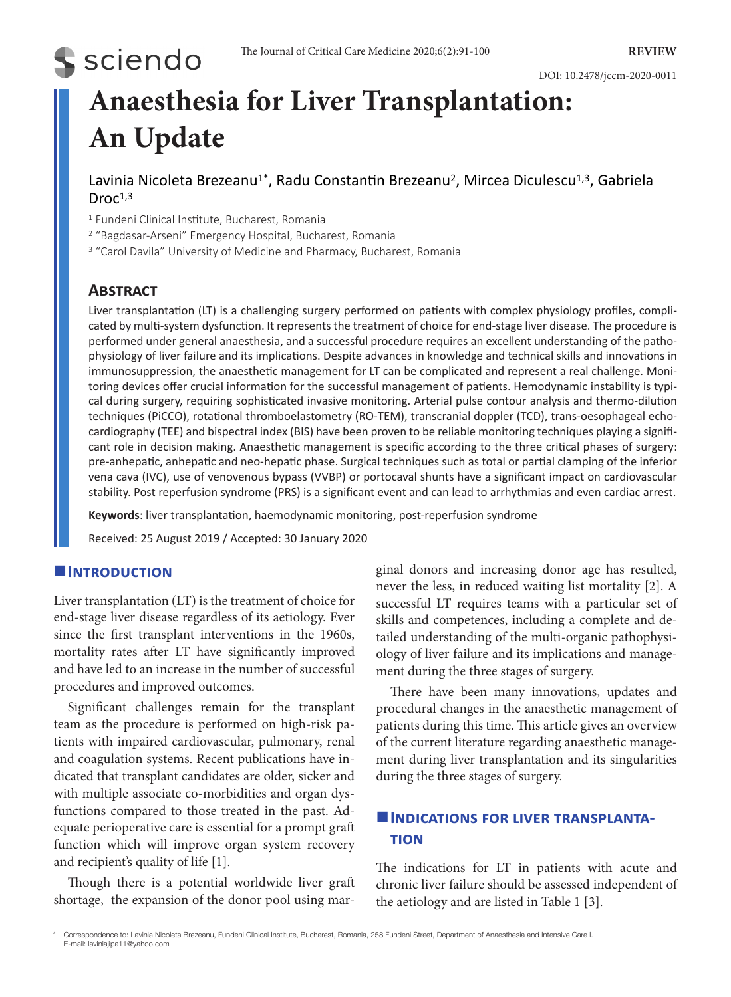# DOI: 10.2478/jccm-2020-0011

# **Anaesthesia for Liver Transplantation: An Update**

Lavinia Nicoleta Brezeanu<sup>1\*</sup>, Radu Constantin Brezeanu<sup>2</sup>, Mircea Diculescu<sup>1,3</sup>, Gabriela  $Droc<sup>1,3</sup>$ 

<sup>1</sup> Fundeni Clinical Institute, Bucharest, Romania

<sup>2</sup> "Bagdasar-Arseni" Emergency Hospital, Bucharest, Romania

<sup>3</sup> "Carol Davila" University of Medicine and Pharmacy, Bucharest, Romania

# **Abstract**

**S** sciendo

Liver transplantation (LT) is a challenging surgery performed on patients with complex physiology profiles, complicated by multi-system dysfunction. It represents the treatment of choice for end-stage liver disease. The procedure is performed under general anaesthesia, and a successful procedure requires an excellent understanding of the pathophysiology of liver failure and its implications. Despite advances in knowledge and technical skills and innovations in immunosuppression, the anaesthetic management for LT can be complicated and represent a real challenge. Monitoring devices offer crucial information for the successful management of patients. Hemodynamic instability is typical during surgery, requiring sophisticated invasive monitoring. Arterial pulse contour analysis and thermo-dilution techniques (PiCCO), rotational thromboelastometry (RO-TEM), transcranial doppler (TCD), trans-oesophageal echocardiography (TEE) and bispectral index (BIS) have been proven to be reliable monitoring techniques playing a significant role in decision making. Anaesthetic management is specific according to the three critical phases of surgery: pre-anhepatic, anhepatic and neo-hepatic phase. Surgical techniques such as total or partial clamping of the inferior vena cava (IVC), use of venovenous bypass (VVBP) or portocaval shunts have a significant impact on cardiovascular stability. Post reperfusion syndrome (PRS) is a significant event and can lead to arrhythmias and even cardiac arrest.

**Keywords**: liver transplantation, haemodynamic monitoring, post-reperfusion syndrome

Received: 25 August 2019 / Accepted: 30 January 2020

# $I$ **INTRODUCTION**

Liver transplantation (LT) is the treatment of choice for end-stage liver disease regardless of its aetiology. Ever since the first transplant interventions in the 1960s, mortality rates after LT have significantly improved and have led to an increase in the number of successful procedures and improved outcomes.

Significant challenges remain for the transplant team as the procedure is performed on high-risk patients with impaired cardiovascular, pulmonary, renal and coagulation systems. Recent publications have indicated that transplant candidates are older, sicker and with multiple associate co-morbidities and organ dysfunctions compared to those treated in the past. Adequate perioperative care is essential for a prompt graft function which will improve organ system recovery and recipient's quality of life [1].

Though there is a potential worldwide liver graft shortage, the expansion of the donor pool using marginal donors and increasing donor age has resulted, never the less, in reduced waiting list mortality [2]. A successful LT requires teams with a particular set of skills and competences, including a complete and detailed understanding of the multi-organic pathophysiology of liver failure and its implications and management during the three stages of surgery.

There have been many innovations, updates and procedural changes in the anaesthetic management of patients during this time. This article gives an overview of the current literature regarding anaesthetic management during liver transplantation and its singularities during the three stages of surgery.

# $\blacksquare$  **INDICATIONS FOR LIVER TRANSPLANTAtion**

The indications for LT in patients with acute and chronic liver failure should be assessed independent of the aetiology and are listed in Table 1 [3].

<sup>\*</sup> Correspondence to: Lavinia Nicoleta Brezeanu, Fundeni Clinical Institute, Bucharest, Romania, 258 Fundeni Street, Department of Anaesthesia and Intensive Care I. E-mail: laviniajipa11@yahoo.com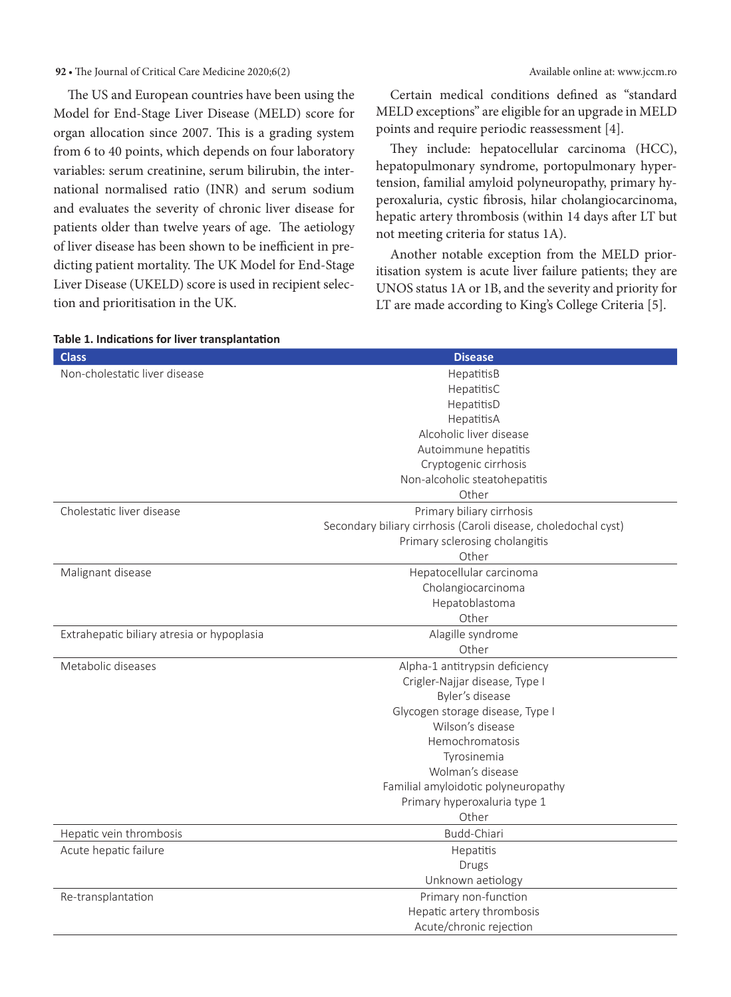The US and European countries have been using the Model for End-Stage Liver Disease (MELD) score for organ allocation since 2007. This is a grading system from 6 to 40 points, which depends on four laboratory variables: serum creatinine, serum bilirubin, the international normalised ratio (INR) and serum sodium and evaluates the severity of chronic liver disease for patients older than twelve years of age. The aetiology of liver disease has been shown to be inefficient in predicting patient mortality. The UK Model for End-Stage Liver Disease (UKELD) score is used in recipient selection and prioritisation in the UK.

Certain medical conditions defined as "standard MELD exceptions" are eligible for an upgrade in MELD points and require periodic reassessment [4].

They include: hepatocellular carcinoma (HCC), hepatopulmonary syndrome, portopulmonary hypertension, familial amyloid polyneuropathy, primary hyperoxaluria, cystic fibrosis, hilar cholangiocarcinoma, hepatic artery thrombosis (within 14 days after LT but not meeting criteria for status 1A).

Another notable exception from the MELD prioritisation system is acute liver failure patients; they are UNOS status 1A or 1B, and the severity and priority for LT are made according to King's College Criteria [5].

| <b>Class</b>                               | <b>Disease</b>                                                 |
|--------------------------------------------|----------------------------------------------------------------|
| Non-cholestatic liver disease              | HepatitisB                                                     |
|                                            | HepatitisC                                                     |
|                                            | HepatitisD                                                     |
|                                            | HepatitisA                                                     |
|                                            | Alcoholic liver disease                                        |
|                                            | Autoimmune hepatitis                                           |
|                                            | Cryptogenic cirrhosis                                          |
|                                            | Non-alcoholic steatohepatitis                                  |
|                                            | Other                                                          |
| Cholestatic liver disease                  | Primary biliary cirrhosis                                      |
|                                            | Secondary biliary cirrhosis (Caroli disease, choledochal cyst) |
|                                            | Primary sclerosing cholangitis                                 |
|                                            | Other                                                          |
| Malignant disease                          | Hepatocellular carcinoma                                       |
|                                            | Cholangiocarcinoma                                             |
|                                            | Hepatoblastoma                                                 |
|                                            | Other                                                          |
| Extrahepatic biliary atresia or hypoplasia | Alagille syndrome                                              |
|                                            | Other                                                          |
| Metabolic diseases                         | Alpha-1 antitrypsin deficiency                                 |
|                                            | Crigler-Najjar disease, Type I                                 |
|                                            | Byler's disease                                                |
|                                            | Glycogen storage disease, Type I                               |
|                                            | Wilson's disease                                               |
|                                            | Hemochromatosis                                                |
|                                            | Tyrosinemia                                                    |
|                                            | Wolman's disease                                               |
|                                            | Familial amyloidotic polyneuropathy                            |
|                                            | Primary hyperoxaluria type 1                                   |
|                                            | Other                                                          |
| Hepatic vein thrombosis                    | Budd-Chiari                                                    |
| Acute hepatic failure                      | Hepatitis                                                      |
|                                            | Drugs                                                          |
|                                            | Unknown aetiology                                              |
| Re-transplantation                         | Primary non-function                                           |
|                                            | Hepatic artery thrombosis                                      |
|                                            | Acute/chronic rejection                                        |

# **Table 1. Indications for liver transplantation**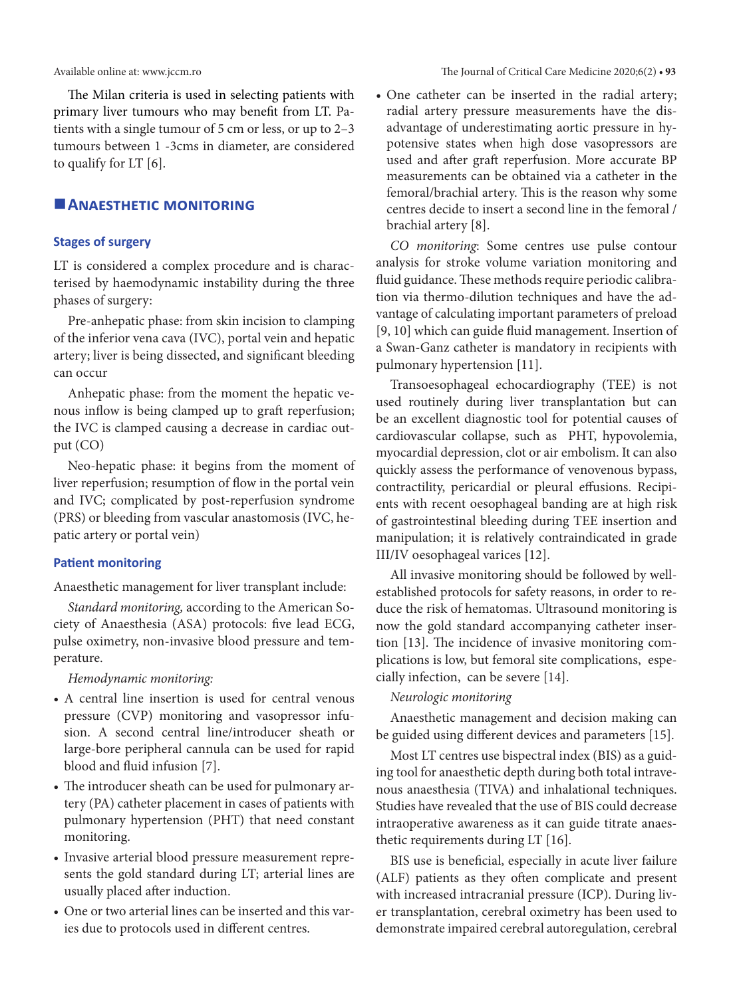The Milan criteria is used in selecting patients with primary liver tumours who may benefit from LT. Patients with a single tumour of 5 cm or less, or up to 2–3 tumours between 1 -3cms in diameter, are considered to qualify for LT [6].

# **ANAESTHETIC MONITORING**

# **Stages of surgery**

LT is considered a complex procedure and is characterised by haemodynamic instability during the three phases of surgery:

Pre-anhepatic phase: from skin incision to clamping of the inferior vena cava (IVC), portal vein and hepatic artery; liver is being dissected, and significant bleeding can occur

Anhepatic phase: from the moment the hepatic venous inflow is being clamped up to graft reperfusion; the IVC is clamped causing a decrease in cardiac output (CO)

Neo-hepatic phase: it begins from the moment of liver reperfusion; resumption of flow in the portal vein and IVC; complicated by post-reperfusion syndrome (PRS) or bleeding from vascular anastomosis (IVC, hepatic artery or portal vein)

#### **Patient monitoring**

Anaesthetic management for liver transplant include:

*Standard monitoring,* according to the American Society of Anaesthesia (ASA) protocols: five lead ECG, pulse oximetry, non-invasive blood pressure and temperature.

*Hemodynamic monitoring:*

- • A central line insertion is used for central venous pressure (CVP) monitoring and vasopressor infusion. A second central line/introducer sheath or large-bore peripheral cannula can be used for rapid blood and fluid infusion [7].
- The introducer sheath can be used for pulmonary artery (PA) catheter placement in cases of patients with pulmonary hypertension (PHT) that need constant monitoring.
- • Invasive arterial blood pressure measurement represents the gold standard during LT; arterial lines are usually placed after induction.
- One or two arterial lines can be inserted and this varies due to protocols used in different centres.

• One catheter can be inserted in the radial artery; radial artery pressure measurements have the disadvantage of underestimating aortic pressure in hypotensive states when high dose vasopressors are used and after graft reperfusion. More accurate BP measurements can be obtained via a catheter in the femoral/brachial artery. This is the reason why some centres decide to insert a second line in the femoral / brachial artery [8].

*CO monitoring*: Some centres use pulse contour analysis for stroke volume variation monitoring and fluid guidance. These methods require periodic calibration via thermo-dilution techniques and have the advantage of calculating important parameters of preload [9, 10] which can guide fluid management. Insertion of a Swan-Ganz catheter is mandatory in recipients with pulmonary hypertension [11].

Transoesophageal echocardiography (TEE) is not used routinely during liver transplantation but can be an excellent diagnostic tool for potential causes of cardiovascular collapse, such as PHT, hypovolemia, myocardial depression, clot or air embolism. It can also quickly assess the performance of venovenous bypass, contractility, pericardial or pleural effusions. Recipients with recent oesophageal banding are at high risk of gastrointestinal bleeding during TEE insertion and manipulation; it is relatively contraindicated in grade III/IV oesophageal varices [12].

All invasive monitoring should be followed by wellestablished protocols for safety reasons, in order to reduce the risk of hematomas. Ultrasound monitoring is now the gold standard accompanying catheter insertion [13]. The incidence of invasive monitoring complications is low, but femoral site complications, especially infection, can be severe [14].

*Neurologic monitoring*

Anaesthetic management and decision making can be guided using different devices and parameters [15].

Most LT centres use bispectral index (BIS) as a guiding tool for anaesthetic depth during both total intravenous anaesthesia (TIVA) and inhalational techniques. Studies have revealed that the use of BIS could decrease intraoperative awareness as it can guide titrate anaesthetic requirements during LT [16].

BIS use is beneficial, especially in acute liver failure (ALF) patients as they often complicate and present with increased intracranial pressure (ICP). During liver transplantation, cerebral oximetry has been used to demonstrate impaired cerebral autoregulation, cerebral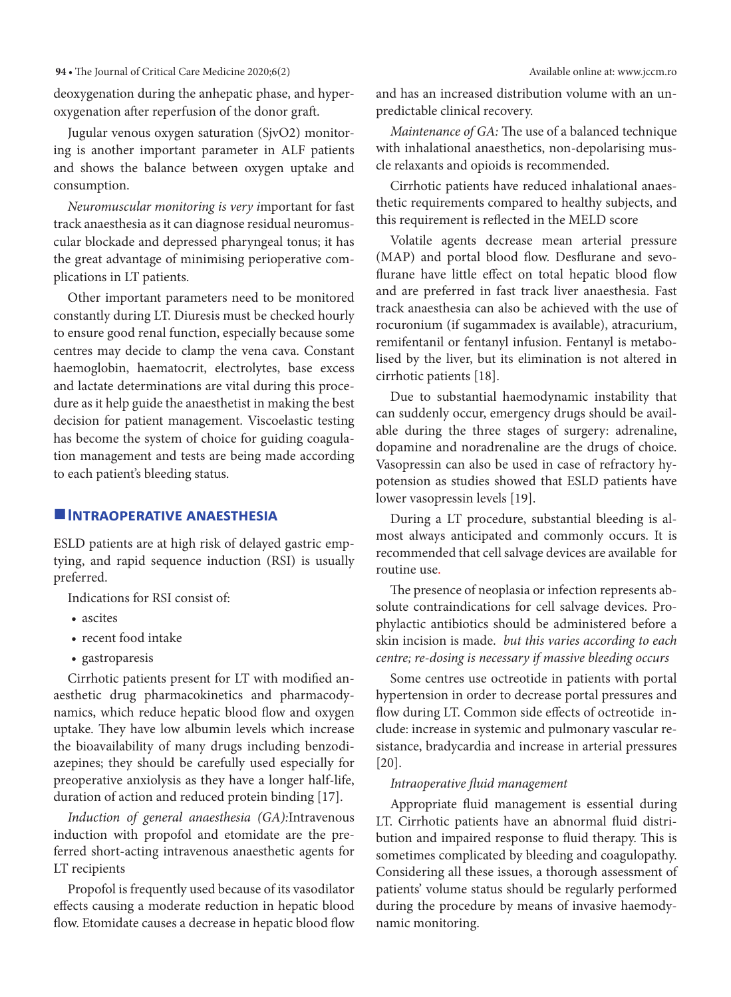deoxygenation during the anhepatic phase, and hyperoxygenation after reperfusion of the donor graft.

Jugular venous oxygen saturation (SjvO2) monitoring is another important parameter in ALF patients and shows the balance between oxygen uptake and consumption.

*Neuromuscular monitoring is very i*mportant for fast track anaesthesia as it can diagnose residual neuromuscular blockade and depressed pharyngeal tonus; it has the great advantage of minimising perioperative complications in LT patients.

Other important parameters need to be monitored constantly during LT. Diuresis must be checked hourly to ensure good renal function, especially because some centres may decide to clamp the vena cava. Constant haemoglobin, haematocrit, electrolytes, base excess and lactate determinations are vital during this procedure as it help guide the anaesthetist in making the best decision for patient management. Viscoelastic testing has become the system of choice for guiding coagulation management and tests are being made according to each patient's bleeding status.

# **Intraoperative anaesthesia**

ESLD patients are at high risk of delayed gastric emptying, and rapid sequence induction (RSI) is usually preferred.

Indications for RSI consist of:

- ascites
- • recent food intake
- gastroparesis

Cirrhotic patients present for LT with modified anaesthetic drug pharmacokinetics and pharmacodynamics, which reduce hepatic blood flow and oxygen uptake. They have low albumin levels which increase the bioavailability of many drugs including benzodiazepines; they should be carefully used especially for preoperative anxiolysis as they have a longer half-life, duration of action and reduced protein binding [17].

*Induction of general anaesthesia (GA):*Intravenous induction with propofol and etomidate are the preferred short-acting intravenous anaesthetic agents for LT recipients

Propofol is frequently used because of its vasodilator effects causing a moderate reduction in hepatic blood flow. Etomidate causes a decrease in hepatic blood flow and has an increased distribution volume with an unpredictable clinical recovery.

*Maintenance of GA:* The use of a balanced technique with inhalational anaesthetics, non-depolarising muscle relaxants and opioids is recommended.

Cirrhotic patients have reduced inhalational anaesthetic requirements compared to healthy subjects, and this requirement is reflected in the MELD score

Volatile agents decrease mean arterial pressure (MAP) and portal blood flow. Desflurane and sevoflurane have little effect on total hepatic blood flow and are preferred in fast track liver anaesthesia. Fast track anaesthesia can also be achieved with the use of rocuronium (if sugammadex is available), atracurium, remifentanil or fentanyl infusion. Fentanyl is metabolised by the liver, but its elimination is not altered in cirrhotic patients [18].

Due to substantial haemodynamic instability that can suddenly occur, emergency drugs should be available during the three stages of surgery: adrenaline, dopamine and noradrenaline are the drugs of choice. Vasopressin can also be used in case of refractory hypotension as studies showed that ESLD patients have lower vasopressin levels [19].

During a LT procedure, substantial bleeding is almost always anticipated and commonly occurs. It is recommended that cell salvage devices are available for routine use.

The presence of neoplasia or infection represents absolute contraindications for cell salvage devices. Prophylactic antibiotics should be administered before a skin incision is made. *but this varies according to each centre; re-dosing is necessary if massive bleeding occurs*

Some centres use octreotide in patients with portal hypertension in order to decrease portal pressures and flow during LT. Common side effects of octreotide include: increase in systemic and pulmonary vascular resistance, bradycardia and increase in arterial pressures [20].

# *Intraoperative fluid management*

Appropriate fluid management is essential during LT. Cirrhotic patients have an abnormal fluid distribution and impaired response to fluid therapy. This is sometimes complicated by bleeding and coagulopathy. Considering all these issues, a thorough assessment of patients' volume status should be regularly performed during the procedure by means of invasive haemodynamic monitoring.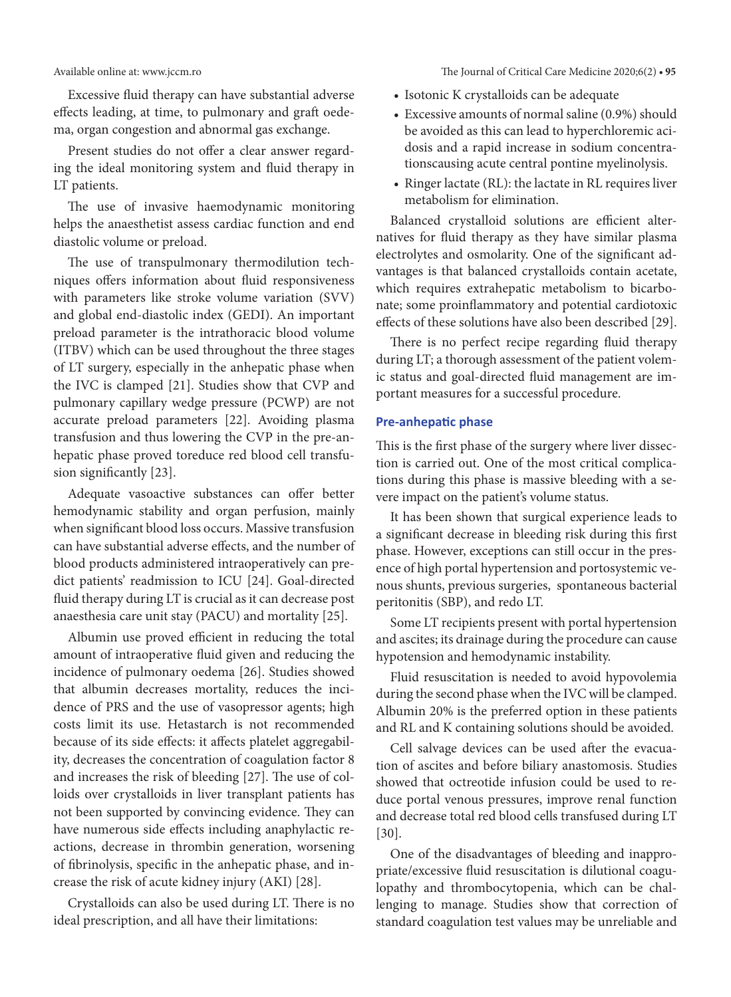Excessive fluid therapy can have substantial adverse effects leading, at time, to pulmonary and graft oedema, organ congestion and abnormal gas exchange.

Present studies do not offer a clear answer regarding the ideal monitoring system and fluid therapy in LT patients.

The use of invasive haemodynamic monitoring helps the anaesthetist assess cardiac function and end diastolic volume or preload.

The use of transpulmonary thermodilution techniques offers information about fluid responsiveness with parameters like stroke volume variation (SVV) and global end-diastolic index (GEDI). An important preload parameter is the intrathoracic blood volume (ITBV) which can be used throughout the three stages of LT surgery, especially in the anhepatic phase when the IVC is clamped [21]. Studies show that CVP and pulmonary capillary wedge pressure (PCWP) are not accurate preload parameters [22]. Avoiding plasma transfusion and thus lowering the CVP in the pre-anhepatic phase proved toreduce red blood cell transfusion significantly [23].

Adequate vasoactive substances can offer better hemodynamic stability and organ perfusion, mainly when significant blood loss occurs. Massive transfusion can have substantial adverse effects, and the number of blood products administered intraoperatively can predict patients' readmission to ICU [24]. Goal-directed fluid therapy during LT is crucial as it can decrease post anaesthesia care unit stay (PACU) and mortality [25].

Albumin use proved efficient in reducing the total amount of intraoperative fluid given and reducing the incidence of pulmonary oedema [26]. Studies showed that albumin decreases mortality, reduces the incidence of PRS and the use of vasopressor agents; high costs limit its use. Hetastarch is not recommended because of its side effects: it affects platelet aggregability, decreases the concentration of coagulation factor 8 and increases the risk of bleeding [27]. The use of colloids over crystalloids in liver transplant patients has not been supported by convincing evidence. They can have numerous side effects including anaphylactic reactions, decrease in thrombin generation, worsening of fibrinolysis, specific in the anhepatic phase, and increase the risk of acute kidney injury (AKI) [28].

Crystalloids can also be used during LT. There is no ideal prescription, and all have their limitations:

Available online at: www.jccm.ro The Journal of Critical Care Medicine 2020;6(2) **• 95**

- • Isotonic K crystalloids can be adequate
- Excessive amounts of normal saline (0.9%) should be avoided as this can lead to hyperchloremic acidosis and a rapid increase in sodium concentrationscausing acute central pontine myelinolysis.
- Ringer lactate (RL): the lactate in RL requires liver metabolism for elimination.

Balanced crystalloid solutions are efficient alternatives for fluid therapy as they have similar plasma electrolytes and osmolarity. One of the significant advantages is that balanced crystalloids contain acetate, which requires extrahepatic metabolism to bicarbonate; some proinflammatory and potential cardiotoxic effects of these solutions have also been described [29].

There is no perfect recipe regarding fluid therapy during LT; a thorough assessment of the patient volemic status and goal-directed fluid management are important measures for a successful procedure.

# **Pre-anhepatic phase**

This is the first phase of the surgery where liver dissection is carried out. One of the most critical complications during this phase is massive bleeding with a severe impact on the patient's volume status.

It has been shown that surgical experience leads to a significant decrease in bleeding risk during this first phase. However, exceptions can still occur in the presence of high portal hypertension and portosystemic venous shunts, previous surgeries, spontaneous bacterial peritonitis (SBP), and redo LT.

Some LT recipients present with portal hypertension and ascites; its drainage during the procedure can cause hypotension and hemodynamic instability.

Fluid resuscitation is needed to avoid hypovolemia during the second phase when the IVC will be clamped. Albumin 20% is the preferred option in these patients and RL and K containing solutions should be avoided.

Cell salvage devices can be used after the evacuation of ascites and before biliary anastomosis. Studies showed that octreotide infusion could be used to reduce portal venous pressures, improve renal function and decrease total red blood cells transfused during LT [30].

One of the disadvantages of bleeding and inappropriate/excessive fluid resuscitation is dilutional coagulopathy and thrombocytopenia, which can be challenging to manage. Studies show that correction of standard coagulation test values may be unreliable and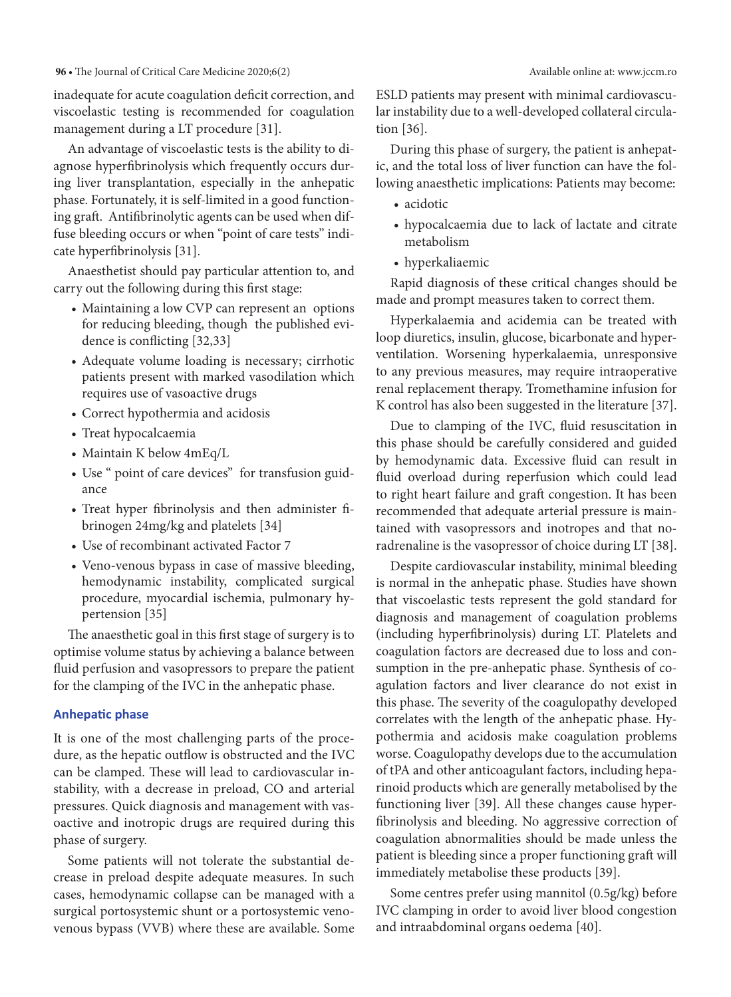inadequate for acute coagulation deficit correction, and viscoelastic testing is recommended for coagulation management during a LT procedure [31].

An advantage of viscoelastic tests is the ability to diagnose hyperfibrinolysis which frequently occurs during liver transplantation, especially in the anhepatic phase. Fortunately, it is self-limited in a good functioning graft. Antifibrinolytic agents can be used when diffuse bleeding occurs or when "point of care tests" indicate hyperfibrinolysis [31].

Anaesthetist should pay particular attention to, and carry out the following during this first stage:

- Maintaining a low CVP can represent an options for reducing bleeding, though the published evidence is conflicting [32,33]
- • Adequate volume loading is necessary; cirrhotic patients present with marked vasodilation which requires use of vasoactive drugs
- Correct hypothermia and acidosis
- • Treat hypocalcaemia
- Maintain K below 4mEq/L
- Use " point of care devices" for transfusion guidance
- • Treat hyper fibrinolysis and then administer fibrinogen 24mg/kg and platelets [34]
- Use of recombinant activated Factor 7
- • Veno-venous bypass in case of massive bleeding, hemodynamic instability, complicated surgical procedure, myocardial ischemia, pulmonary hypertension [35]

The anaesthetic goal in this first stage of surgery is to optimise volume status by achieving a balance between fluid perfusion and vasopressors to prepare the patient for the clamping of the IVC in the anhepatic phase.

# **Anhepatic phase**

It is one of the most challenging parts of the procedure, as the hepatic outflow is obstructed and the IVC can be clamped. These will lead to cardiovascular instability, with a decrease in preload, CO and arterial pressures. Quick diagnosis and management with vasoactive and inotropic drugs are required during this phase of surgery.

Some patients will not tolerate the substantial decrease in preload despite adequate measures. In such cases, hemodynamic collapse can be managed with a surgical portosystemic shunt or a portosystemic venovenous bypass (VVB) where these are available. Some ESLD patients may present with minimal cardiovascular instability due to a well-developed collateral circulation [36].

During this phase of surgery, the patient is anhepatic, and the total loss of liver function can have the following anaesthetic implications: Patients may become:

- acidotic
- • hypocalcaemia due to lack of lactate and citrate metabolism
- hyperkaliaemic

Rapid diagnosis of these critical changes should be made and prompt measures taken to correct them.

Hyperkalaemia and acidemia can be treated with loop diuretics, insulin, glucose, bicarbonate and hyperventilation. Worsening hyperkalaemia, unresponsive to any previous measures, may require intraoperative renal replacement therapy. Tromethamine infusion for K control has also been suggested in the literature [37].

Due to clamping of the IVC, fluid resuscitation in this phase should be carefully considered and guided by hemodynamic data. Excessive fluid can result in fluid overload during reperfusion which could lead to right heart failure and graft congestion. It has been recommended that adequate arterial pressure is maintained with vasopressors and inotropes and that noradrenaline is the vasopressor of choice during LT [38].

Despite cardiovascular instability, minimal bleeding is normal in the anhepatic phase. Studies have shown that viscoelastic tests represent the gold standard for diagnosis and management of coagulation problems (including hyperfibrinolysis) during LT. Platelets and coagulation factors are decreased due to loss and consumption in the pre-anhepatic phase. Synthesis of coagulation factors and liver clearance do not exist in this phase. The severity of the coagulopathy developed correlates with the length of the anhepatic phase. Hypothermia and acidosis make coagulation problems worse. Coagulopathy develops due to the accumulation of tPA and other anticoagulant factors, including heparinoid products which are generally metabolised by the functioning liver [39]. All these changes cause hyperfibrinolysis and bleeding. No aggressive correction of coagulation abnormalities should be made unless the patient is bleeding since a proper functioning graft will immediately metabolise these products [39].

Some centres prefer using mannitol (0.5g/kg) before IVC clamping in order to avoid liver blood congestion and intraabdominal organs oedema [40].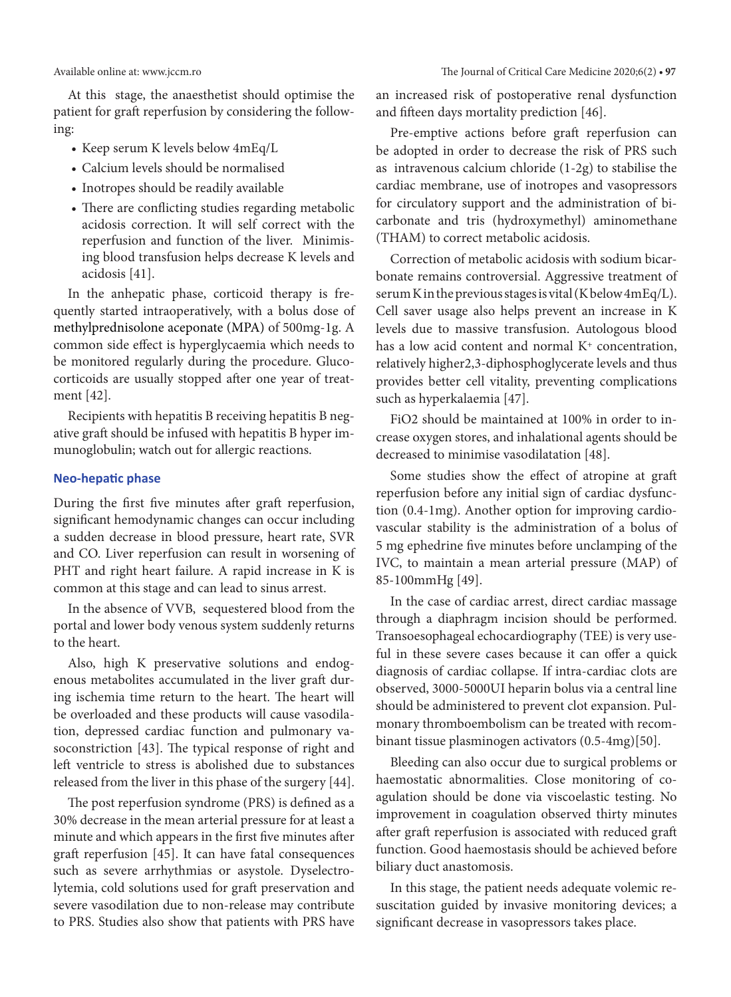At this stage, the anaesthetist should optimise the patient for graft reperfusion by considering the following:

- Keep serum K levels below  $4mEq/L$
- • Calcium levels should be normalised
- Inotropes should be readily available
- There are conflicting studies regarding metabolic acidosis correction. It will self correct with the reperfusion and function of the liver. Minimising blood transfusion helps decrease K levels and acidosis [41].

In the anhepatic phase, corticoid therapy is frequently started intraoperatively, with a bolus dose of methylprednisolone aceponate (MPA) of 500mg-1g. A common side effect is hyperglycaemia which needs to be monitored regularly during the procedure. Glucocorticoids are usually stopped after one year of treatment [42].

Recipients with hepatitis B receiving hepatitis B negative graft should be infused with hepatitis B hyper immunoglobulin; watch out for allergic reactions.

#### **Neo-hepatic phase**

During the first five minutes after graft reperfusion, significant hemodynamic changes can occur including a sudden decrease in blood pressure, heart rate, SVR and CO. Liver reperfusion can result in worsening of PHT and right heart failure. A rapid increase in K is common at this stage and can lead to sinus arrest.

In the absence of VVB, sequestered blood from the portal and lower body venous system suddenly returns to the heart.

Also, high K preservative solutions and endogenous metabolites accumulated in the liver graft during ischemia time return to the heart. The heart will be overloaded and these products will cause vasodilation, depressed cardiac function and pulmonary vasoconstriction [43]. The typical response of right and left ventricle to stress is abolished due to substances released from the liver in this phase of the surgery [44].

The post reperfusion syndrome (PRS) is defined as a 30% decrease in the mean arterial pressure for at least a minute and which appears in the first five minutes after graft reperfusion [45]. It can have fatal consequences such as severe arrhythmias or asystole. Dyselectrolytemia, cold solutions used for graft preservation and severe vasodilation due to non-release may contribute to PRS. Studies also show that patients with PRS have

Available online at: www.jccm.ro The Journal of Critical Care Medicine 2020;6(2) **• 97**

an increased risk of postoperative renal dysfunction and fifteen days mortality prediction [46].

Pre-emptive actions before graft reperfusion can be adopted in order to decrease the risk of PRS such as intravenous calcium chloride (1-2g) to stabilise the cardiac membrane, use of inotropes and vasopressors for circulatory support and the administration of bicarbonate and tris (hydroxymethyl) aminomethane (THAM) to correct metabolic acidosis.

Correction of metabolic acidosis with sodium bicarbonate remains controversial. Aggressive treatment of serum K in the previous stages is vital (K below 4mEq/L). Cell saver usage also helps prevent an increase in K levels due to massive transfusion. Autologous blood has a low acid content and normal  $K^+$  concentration, relatively higher2,3-diphosphoglycerate levels and thus provides better cell vitality, preventing complications such as hyperkalaemia [47].

FiO2 should be maintained at 100% in order to increase oxygen stores, and inhalational agents should be decreased to minimise vasodilatation [48].

Some studies show the effect of atropine at graft reperfusion before any initial sign of cardiac dysfunction (0.4-1mg). Another option for improving cardiovascular stability is the administration of a bolus of 5 mg ephedrine five minutes before unclamping of the IVC, to maintain a mean arterial pressure (MAP) of 85-100mmHg [49].

In the case of cardiac arrest, direct cardiac massage through a diaphragm incision should be performed. Transoesophageal echocardiography (TEE) is very useful in these severe cases because it can offer a quick diagnosis of cardiac collapse. If intra-cardiac clots are observed, 3000-5000UI heparin bolus via a central line should be administered to prevent clot expansion. Pulmonary thromboembolism can be treated with recombinant tissue plasminogen activators (0.5-4mg)[50].

Bleeding can also occur due to surgical problems or haemostatic abnormalities. Close monitoring of coagulation should be done via viscoelastic testing. No improvement in coagulation observed thirty minutes after graft reperfusion is associated with reduced graft function. Good haemostasis should be achieved before biliary duct anastomosis.

In this stage, the patient needs adequate volemic resuscitation guided by invasive monitoring devices; a significant decrease in vasopressors takes place.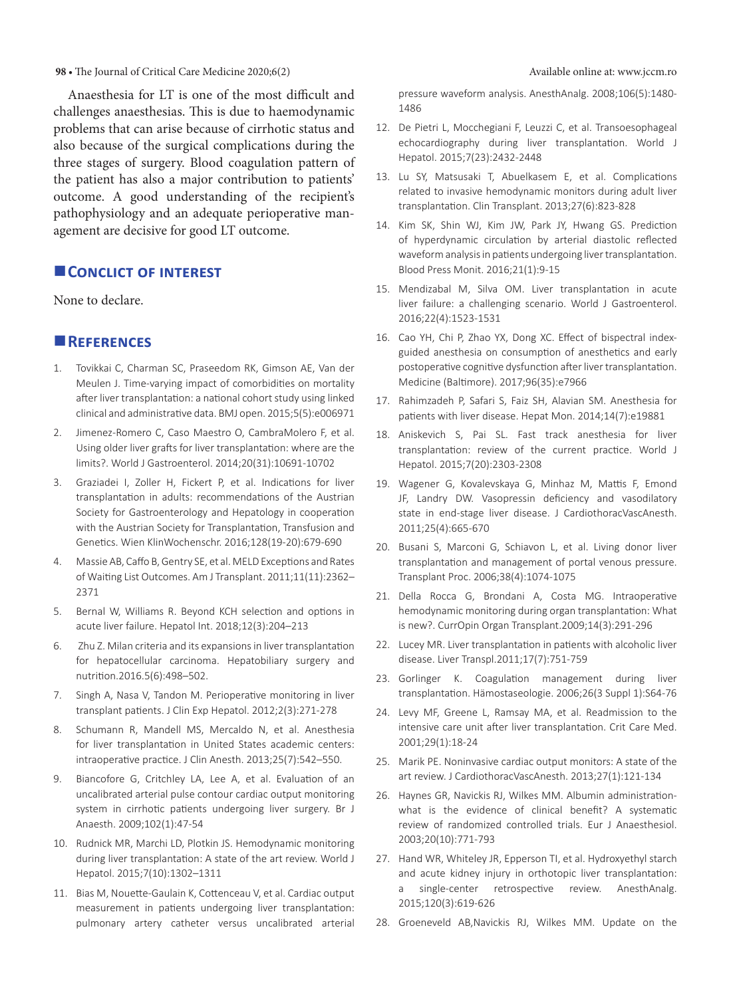Anaesthesia for LT is one of the most difficult and challenges anaesthesias. This is due to haemodynamic problems that can arise because of cirrhotic status and also because of the surgical complications during the three stages of surgery. Blood coagulation pattern of the patient has also a major contribution to patients' outcome. A good understanding of the recipient's pathophysiology and an adequate perioperative management are decisive for good LT outcome.

# **CONCLICT OF INTEREST**

None to declare.

# **References**

- 1. Tovikkai C, Charman SC, Praseedom RK, Gimson AE, Van der Meulen J. Time-varying impact of comorbidities on mortality after liver transplantation: a national cohort study using linked clinical and administrative data. BMJ open. 2015;5(5):e006971
- 2. Jimenez-Romero C, Caso Maestro O, CambraMolero F, et al. Using older liver grafts for liver transplantation: where are the limits?. World J Gastroenterol. 2014;20(31):10691-10702
- 3. Graziadei I, Zoller H, Fickert P, et al. Indications for liver transplantation in adults: recommendations of the Austrian Society for Gastroenterology and Hepatology in cooperation with the Austrian Society for Transplantation, Transfusion and Genetics. Wien KlinWochenschr. 2016;128(19-20):679-690
- 4. Massie AB, Caffo B, Gentry SE, et al. MELD Exceptions and Rates of Waiting List Outcomes. Am J Transplant. 2011;11(11):2362– 2371
- 5. Bernal W, Williams R. Beyond KCH selection and options in acute liver failure. Hepatol Int. 2018;12(3):204–213
- 6. Zhu Z. Milan criteria and its expansions in liver transplantation for hepatocellular carcinoma. Hepatobiliary surgery and nutrition.2016.5(6):498–502.
- 7. Singh A, Nasa V, Tandon M. Perioperative monitoring in liver transplant patients. J Clin Exp Hepatol. 2012;2(3):271-278
- 8. Schumann R, Mandell MS, Mercaldo N, et al. Anesthesia for liver transplantation in United States academic centers: intraoperative practice. J Clin Anesth. 2013;25(7):542–550.
- 9. Biancofore G, Critchley LA, Lee A, et al. Evaluation of an uncalibrated arterial pulse contour cardiac output monitoring system in cirrhotic patients undergoing liver surgery. Br J Anaesth. 2009;102(1):47-54
- 10. Rudnick MR, Marchi LD, Plotkin JS. Hemodynamic monitoring during liver transplantation: A state of the art review. World J Hepatol. 2015;7(10):1302–1311
- 11. Bias M, Nouette-Gaulain K, Cottenceau V, et al. Cardiac output measurement in patients undergoing liver transplantation: pulmonary artery catheter versus uncalibrated arterial

pressure waveform analysis. AnesthAnalg. 2008;106(5):1480- 1486

- 12. De Pietri L, Mocchegiani F, Leuzzi C, et al. Transoesophageal echocardiography during liver transplantation. World J Hepatol. 2015;7(23):2432-2448
- 13. Lu SY, Matsusaki T, Abuelkasem E, et al. Complications related to invasive hemodynamic monitors during adult liver transplantation. Clin Transplant. 2013;27(6):823-828
- 14. Kim SK, Shin WJ, Kim JW, Park JY, Hwang GS. Prediction of hyperdynamic circulation by arterial diastolic reflected waveform analysis in patients undergoing liver transplantation. Blood Press Monit. 2016;21(1):9-15
- 15. Mendizabal M, Silva OM. Liver transplantation in acute liver failure: a challenging scenario. World J Gastroenterol. 2016;22(4):1523-1531
- 16. Cao YH, Chi P, Zhao YX, Dong XC. Effect of bispectral indexguided anesthesia on consumption of anesthetics and early postoperative cognitive dysfunction after liver transplantation. Medicine (Baltimore). 2017;96(35):e7966
- 17. Rahimzadeh P, Safari S, Faiz SH, Alavian SM. Anesthesia for patients with liver disease. Hepat Mon. 2014;14(7):e19881
- 18. Aniskevich S, Pai SL. Fast track anesthesia for liver transplantation: review of the current practice. World J Hepatol. 2015;7(20):2303-2308
- 19. Wagener G, Kovalevskaya G, Minhaz M, Mattis F, Emond JF, Landry DW. Vasopressin deficiency and vasodilatory state in end-stage liver disease. J CardiothoracVascAnesth. 2011;25(4):665-670
- 20. Busani S, Marconi G, Schiavon L, et al. Living donor liver transplantation and management of portal venous pressure. Transplant Proc. 2006;38(4):1074-1075
- 21. Della Rocca G, Brondani A, Costa MG. Intraoperative hemodynamic monitoring during organ transplantation: What is new?. CurrOpin Organ Transplant.2009;14(3):291-296
- 22. Lucey MR. Liver transplantation in patients with alcoholic liver disease. Liver Transpl.2011;17(7):751-759
- 23. Gorlinger K. Coagulation management during liver transplantation. Hämostaseologie. 2006;26(3 Suppl 1):S64-76
- 24. Levy MF, Greene L, Ramsay MA, et al. Readmission to the intensive care unit after liver transplantation. Crit Care Med. 2001;29(1):18-24
- 25. Marik PE. Noninvasive cardiac output monitors: A state of the art review. J CardiothoracVascAnesth. 2013;27(1):121-134
- 26. Haynes GR, Navickis RJ, Wilkes MM. Albumin administrationwhat is the evidence of clinical benefit? A systematic review of randomized controlled trials. Eur J Anaesthesiol. 2003;20(10):771-793
- 27. Hand WR, Whiteley JR, Epperson TI, et al. Hydroxyethyl starch and acute kidney injury in orthotopic liver transplantation: single-center retrospective review. AnesthAnalg. 2015;120(3):619-626
- 28. Groeneveld AB,Navickis RJ, Wilkes MM. Update on the